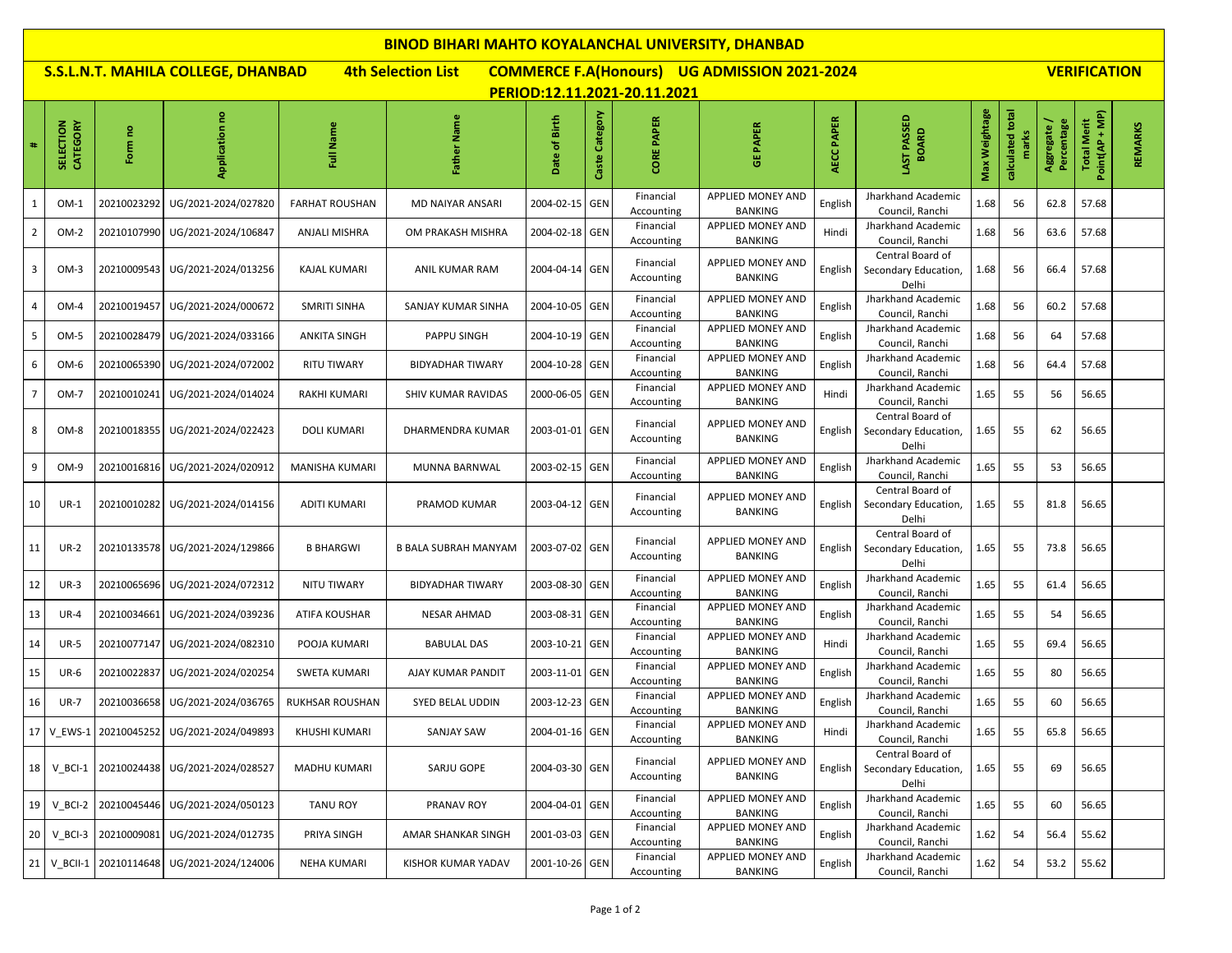| <b>BINOD BIHARI MAHTO KOYALANCHAL UNIVERSITY, DHANBAD</b>                                                                                                                     |                       |                        |                                                  |                        |                           |                |                   |                         |                                            |            |                                                   |               |                           |                         |                                      |         |
|-------------------------------------------------------------------------------------------------------------------------------------------------------------------------------|-----------------------|------------------------|--------------------------------------------------|------------------------|---------------------------|----------------|-------------------|-------------------------|--------------------------------------------|------------|---------------------------------------------------|---------------|---------------------------|-------------------------|--------------------------------------|---------|
| <b>4th Selection List</b><br><b>COMMERCE F.A(Honours) UG ADMISSION 2021-2024</b><br>S.S.L.N.T. MAHILA COLLEGE, DHANBAD<br><b>VERIFICATION</b><br>PERIOD:12.11.2021-20.11.2021 |                       |                        |                                                  |                        |                           |                |                   |                         |                                            |            |                                                   |               |                           |                         |                                      |         |
| #                                                                                                                                                                             | CATEGORY<br>SELECTION | Form no                | Application no                                   | Name<br>ã              | Father Name               | Date of Birth  | Category<br>Caste | <b>CORE PAPER</b>       | <b>GE PAPER</b>                            | AECC PAPER | LAST PASSED<br><b>BOARD</b>                       | Max Weightage | calculated total<br>marks | Percentage<br>Aggregate | Point(AP + MP)<br><b>Total Merit</b> | REMARKS |
| 1                                                                                                                                                                             | $OM-1$                | 20210023292            | UG/2021-2024/027820                              | <b>FARHAT ROUSHAN</b>  | <b>MD NAIYAR ANSARI</b>   | 2004-02-15 GEN |                   | Financial<br>Accounting | APPLIED MONEY AND<br>BANKING               | English    | Jharkhand Academic<br>Council, Ranchi             | 1.68          | 56                        | 62.8                    | 57.68                                |         |
| $\overline{2}$                                                                                                                                                                | $OM-2$                |                        | 20210107990 UG/2021-2024/106847                  | ANJALI MISHRA          | OM PRAKASH MISHRA         | 2004-02-18 GEN |                   | Financial<br>Accounting | APPLIED MONEY AND<br><b>BANKING</b>        | Hindi      | Jharkhand Academic<br>Council, Ranchi             | 1.68          | 56                        | 63.6                    | 57.68                                |         |
| 3                                                                                                                                                                             | $OM-3$                |                        | 20210009543   UG/2021-2024/013256                | <b>KAJAL KUMARI</b>    | ANIL KUMAR RAM            | 2004-04-14 GEN |                   | Financial<br>Accounting | APPLIED MONEY AND<br><b>BANKING</b>        | English    | Central Board of<br>Secondary Education,<br>Delhi | 1.68          | 56                        | 66.4                    | 57.68                                |         |
| $\overline{4}$                                                                                                                                                                | $OM-4$                | 20210019457            | UG/2021-2024/000672                              | <b>SMRITI SINHA</b>    | SANJAY KUMAR SINHA        | 2004-10-05 GEN |                   | Financial<br>Accounting | APPLIED MONEY AND<br><b>BANKING</b>        | English    | Jharkhand Academic<br>Council, Ranchi             | 1.68          | 56                        | 60.2                    | 57.68                                |         |
| -5                                                                                                                                                                            | OM-5                  |                        | 20210028479 UG/2021-2024/033166                  | <b>ANKITA SINGH</b>    | PAPPU SINGH               | 2004-10-19 GEN |                   | Financial<br>Accounting | APPLIED MONEY AND<br><b>BANKING</b>        | English    | Jharkhand Academic<br>Council, Ranchi             | 1.68          | 56                        | 64                      | 57.68                                |         |
| 6                                                                                                                                                                             | OM-6                  | 20210065390            | UG/2021-2024/072002                              | RITU TIWARY            | <b>BIDYADHAR TIWARY</b>   | 2004-10-28 GEN |                   | Financial<br>Accounting | APPLIED MONEY AND<br><b>BANKING</b>        | English    | Jharkhand Academic<br>Council, Ranchi             | 1.68          | 56                        | 64.4                    | 57.68                                |         |
| 7                                                                                                                                                                             | OM-7                  | 20210010241            | UG/2021-2024/014024                              | <b>RAKHI KUMARI</b>    | <b>SHIV KUMAR RAVIDAS</b> | 2000-06-05 GEN |                   | Financial<br>Accounting | APPLIED MONEY AND<br><b>BANKING</b>        | Hindi      | Jharkhand Academic<br>Council, Ranchi             | 1.65          | 55                        | 56                      | 56.65                                |         |
| 8                                                                                                                                                                             | OM-8                  |                        | 20210018355 UG/2021-2024/022423                  | <b>DOLI KUMARI</b>     | DHARMENDRA KUMAR          | 2003-01-01 GEN |                   | Financial<br>Accounting | <b>APPLIED MONEY AND</b><br><b>BANKING</b> | English    | Central Board of<br>Secondary Education,<br>Delhi | 1.65          | 55                        | 62                      | 56.65                                |         |
| 9                                                                                                                                                                             | OM-9                  |                        | 20210016816 UG/2021-2024/020912                  | MANISHA KUMARI         | MUNNA BARNWAL             | 2003-02-15 GEN |                   | Financial<br>Accounting | APPLIED MONEY AND<br><b>BANKING</b>        | English    | Jharkhand Academic<br>Council, Ranchi             | 1.65          | 55                        | 53                      | 56.65                                |         |
| 10                                                                                                                                                                            | $UR-1$                |                        | 20210010282 UG/2021-2024/014156                  | <b>ADITI KUMARI</b>    | PRAMOD KUMAR              | 2003-04-12 GEN |                   | Financial<br>Accounting | APPLIED MONEY AND<br>BANKING               | English    | Central Board of<br>Secondary Education,<br>Delhi | 1.65          | 55                        | 81.8                    | 56.65                                |         |
| 11                                                                                                                                                                            | $UR-2$                |                        | 20210133578 UG/2021-2024/129866                  | <b>B BHARGWI</b>       | B BALA SUBRAH MANYAM      | 2003-07-02 GEN |                   | Financial<br>Accounting | APPLIED MONEY AND<br><b>BANKING</b>        | English    | Central Board of<br>Secondary Education,<br>Delhi | 1.65          | 55                        | 73.8                    | 56.65                                |         |
| 12                                                                                                                                                                            | $UR-3$                | 20210065696            | UG/2021-2024/072312                              | NITU TIWARY            | <b>BIDYADHAR TIWARY</b>   | 2003-08-30 GEN |                   | Financial<br>Accounting | APPLIED MONEY AND<br><b>BANKING</b>        | English    | Jharkhand Academic<br>Council, Ranchi             | 1.65          | 55                        | 61.4                    | 56.65                                |         |
| 13                                                                                                                                                                            | $UR-4$                | 20210034661            | UG/2021-2024/039236                              | <b>ATIFA KOUSHAR</b>   | <b>NESAR AHMAD</b>        | 2003-08-31 GEN |                   | Financial<br>Accounting | APPLIED MONEY AND<br>BANKING               | English    | Jharkhand Academic<br>Council, Ranchi             | 1.65          | 55                        | 54                      | 56.65                                |         |
| 14                                                                                                                                                                            | <b>UR-5</b>           | 20210077147            | UG/2021-2024/082310                              | POOJA KUMARI           | <b>BABULAL DAS</b>        | 2003-10-21 GEN |                   | Financial<br>Accounting | APPLIED MONEY AND<br><b>BANKING</b>        | Hindi      | Jharkhand Academic<br>Council, Ranchi             | 1.65          | 55                        | 69.4                    | 56.65                                |         |
| 15                                                                                                                                                                            | <b>UR-6</b>           | 20210022837            | UG/2021-2024/020254                              | SWETA KUMARI           | AJAY KUMAR PANDIT         | 2003-11-01 GEN |                   | Financial<br>Accounting | APPLIED MONEY AND<br><b>BANKING</b>        | English    | Jharkhand Academic<br>Council, Ranchi             | 1.65          | 55                        | 80                      | 56.65                                |         |
| 16                                                                                                                                                                            | <b>UR-7</b>           | 20210036658            | UG/2021-2024/036765                              | <b>RUKHSAR ROUSHAN</b> | SYED BELAL UDDIN          | 2003-12-23 GEN |                   | Financial<br>Accounting | APPLIED MONEY AND<br>BANKING               | English    | Jharkhand Academic<br>Council, Ranchi             | 1.65          | 55                        | 60                      | 56.65                                |         |
|                                                                                                                                                                               |                       |                        | 17   V_EWS-1   20210045252   UG/2021-2024/049893 | KHUSHI KUMARI          | SANJAY SAW                | 2004-01-16 GEN |                   | Financial<br>Accounting | APPLIED MONEY AND<br>BANKING               | Hindi      | Jharkhand Academic<br>Council, Ranchi             | 1.65          | 55                        | 65.8                    | 56.65                                |         |
| 18                                                                                                                                                                            |                       |                        | V BCI-1 20210024438 UG/2021-2024/028527          | <b>MADHU KUMARI</b>    | SARJU GOPE                | 2004-03-30 GEN |                   | Financial<br>Accounting | APPLIED MONEY AND<br>BANKING               | English    | Central Board of<br>Secondary Education,<br>Delhi | 1.65          | 55                        | 69                      | 56.65                                |         |
| 19                                                                                                                                                                            | V BCI-2               |                        | 20210045446 UG/2021-2024/050123                  | <b>TANU ROY</b>        | PRANAV ROY                | 2004-04-01 GEN |                   | Financial<br>Accounting | APPLIED MONEY AND<br>BANKING               | English    | Jharkhand Academic<br>Council, Ranchi             | 1.65          | 55                        | 60                      | 56.65                                |         |
| 20                                                                                                                                                                            | V BCI-3               | 20210009081            | UG/2021-2024/012735                              | PRIYA SINGH            | AMAR SHANKAR SINGH        | 2001-03-03 GEN |                   | Financial<br>Accounting | APPLIED MONEY AND<br>BANKING               | English    | Jharkhand Academic<br>Council, Ranchi             | 1.62          | 54                        | 56.4                    | 55.62                                |         |
| 21                                                                                                                                                                            |                       | V_BCII-1   20210114648 | UG/2021-2024/124006                              | <b>NEHA KUMARI</b>     | <b>KISHOR KUMAR YADAV</b> | 2001-10-26 GEN |                   | Financial<br>Accounting | APPLIED MONEY AND<br>BANKING               | English    | Jharkhand Academic<br>Council, Ranchi             | 1.62          | 54                        | 53.2                    | 55.62                                |         |